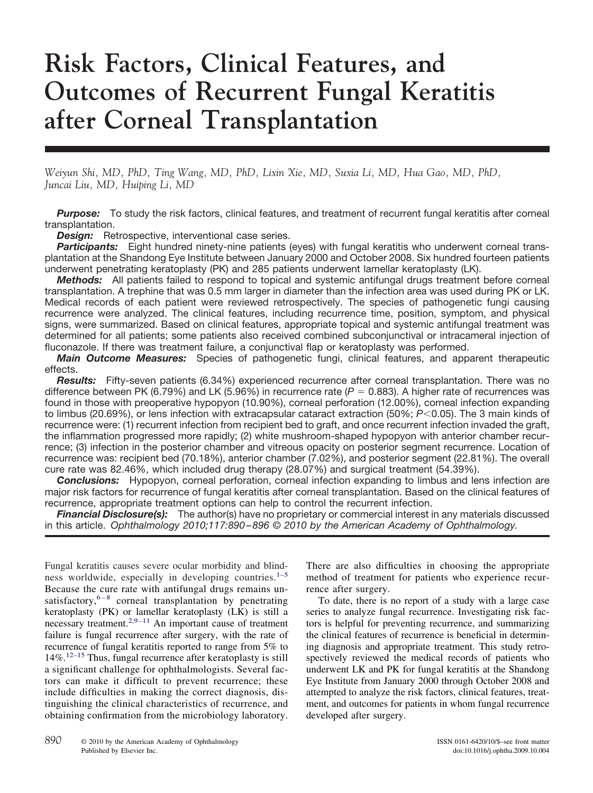# **Risk Factors, Clinical Features, and Outcomes of Recurrent Fungal Keratitis after Corneal Transplantation**

*Weiyun Shi, MD, PhD, Ting Wang, MD, PhD, Lixin Xie, MD, Suxia Li, MD, Hua Gao, MD, PhD, Juncai Liu, MD, Huiping Li, MD*

*Purpose:* To study the risk factors, clinical features, and treatment of recurrent fungal keratitis after corneal transplantation.

*Design:* Retrospective, interventional case series.

*Participants:* Eight hundred ninety-nine patients (eyes) with fungal keratitis who underwent corneal transplantation at the Shandong Eye Institute between January 2000 and October 2008. Six hundred fourteen patients underwent penetrating keratoplasty (PK) and 285 patients underwent lamellar keratoplasty (LK).

*Methods:* All patients failed to respond to topical and systemic antifungal drugs treatment before corneal transplantation. A trephine that was 0.5 mm larger in diameter than the infection area was used during PK or LK. Medical records of each patient were reviewed retrospectively. The species of pathogenetic fungi causing recurrence were analyzed. The clinical features, including recurrence time, position, symptom, and physical signs, were summarized. Based on clinical features, appropriate topical and systemic antifungal treatment was determined for all patients; some patients also received combined subconjunctival or intracameral injection of fluconazole. If there was treatment failure, a conjunctival flap or keratoplasty was performed.

*Main Outcome Measures:* Species of pathogenetic fungi, clinical features, and apparent therapeutic effects.

*Results:* Fifty-seven patients (6.34%) experienced recurrence after corneal transplantation. There was no difference between PK (6.79%) and LK (5.96%) in recurrence rate  $(P = 0.883)$ . A higher rate of recurrences was found in those with preoperative hypopyon (10.90%), corneal perforation (12.00%), corneal infection expanding to limbus (20.69%), or lens infection with extracapsular cataract extraction (50%; *P*-0.05). The 3 main kinds of recurrence were: (1) recurrent infection from recipient bed to graft, and once recurrent infection invaded the graft, the inflammation progressed more rapidly; (2) white mushroom-shaped hypopyon with anterior chamber recurrence; (3) infection in the posterior chamber and vitreous opacity on posterior segment recurrence. Location of recurrence was: recipient bed (70.18%), anterior chamber (7.02%), and posterior segment (22.81%). The overall cure rate was 82.46%, which included drug therapy (28.07%) and surgical treatment (54.39%).

*Conclusions:* Hypopyon, corneal perforation, corneal infection expanding to limbus and lens infection are major risk factors for recurrence of fungal keratitis after corneal transplantation. Based on the clinical features of recurrence, appropriate treatment options can help to control the recurrent infection.

*Financial Disclosure(s):* The author(s) have no proprietary or commercial interest in any materials discussed in this article. *Ophthalmology 2010;117:890 – 896 © 2010 by the American Academy of Ophthalmology.*

Fungal keratitis causes severe ocular morbidity and blindness worldwide, especially in developing countries. $1-5$ Because the cure rate with antifungal drugs remains unsatisfactory,  $6-8$  corneal transplantation by penetrating keratoplasty (PK) or lamellar keratoplasty (LK) is still a necessary treatment.2,9–11 An important cause of treatment failure is fungal recurrence after surgery, with the rate of recurrence of fungal keratitis reported to range from 5% to  $14\%$ .<sup>12–15</sup> Thus, fungal recurrence after keratoplasty is still a significant challenge for ophthalmologists. Several factors can make it difficult to prevent recurrence; these include difficulties in making the correct diagnosis, distinguishing the clinical characteristics of recurrence, and obtaining confirmation from the microbiology laboratory.

There are also difficulties in choosing the appropriate method of treatment for patients who experience recurrence after surgery.

To date, there is no report of a study with a large case series to analyze fungal recurrence. Investigating risk factors is helpful for preventing recurrence, and summarizing the clinical features of recurrence is beneficial in determining diagnosis and appropriate treatment. This study retrospectively reviewed the medical records of patients who underwent LK and PK for fungal keratitis at the Shandong Eye Institute from January 2000 through October 2008 and attempted to analyze the risk factors, clinical features, treatment, and outcomes for patients in whom fungal recurrence developed after surgery.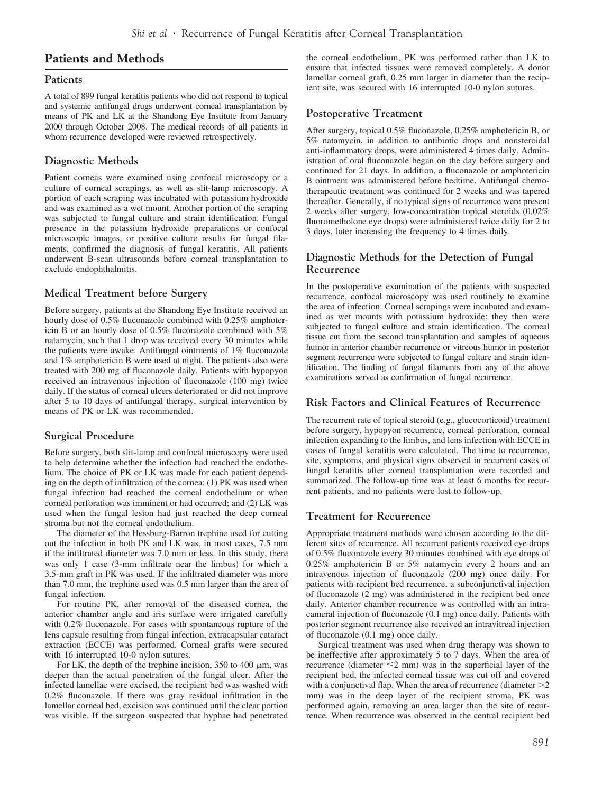### **Patients and Methods**

#### **Patients**

A total of 899 fungal keratitis patients who did not respond to topical and systemic antifungal drugs underwent corneal transplantation by means of PK and LK at the Shandong Eye Institute from January 2000 through October 2008. The medical records of all patients in whom recurrence developed were reviewed retrospectively.

#### **Diagnostic Methods**

Patient corneas were examined using confocal microscopy or a culture of corneal scrapings, as well as slit-lamp microscopy. A portion of each scraping was incubated with potassium hydroxide and was examined as a wet mount. Another portion of the scraping was subjected to fungal culture and strain identification. Fungal presence in the potassium hydroxide preparations or confocal microscopic images, or positive culture results for fungal filaments, confirmed the diagnosis of fungal keratitis. All patients underwent B-scan ultrasounds before corneal transplantation to exclude endophthalmitis.

#### **Medical Treatment before Surgery**

Before surgery, patients at the Shandong Eye Institute received an hourly dose of 0.5% fluconazole combined with 0.25% amphotericin B or an hourly dose of 0.5% fluconazole combined with 5% natamycin, such that 1 drop was received every 30 minutes while the patients were awake. Antifungal ointments of 1% fluconazole and 1% amphotericin B were used at night. The patients also were treated with 200 mg of fluconazole daily. Patients with hypopyon received an intravenous injection of fluconazole (100 mg) twice daily. If the status of corneal ulcers deteriorated or did not improve after 5 to 10 days of antifungal therapy, surgical intervention by means of PK or LK was recommended.

#### **Surgical Procedure**

Before surgery, both slit-lamp and confocal microscopy were used to help determine whether the infection had reached the endothelium. The choice of PK or LK was made for each patient depending on the depth of infiltration of the cornea: (1) PK was used when fungal infection had reached the corneal endothelium or when corneal perforation was imminent or had occurred; and (2) LK was used when the fungal lesion had just reached the deep corneal stroma but not the corneal endothelium.

The diameter of the Hessburg-Barron trephine used for cutting out the infection in both PK and LK was, in most cases, 7.5 mm if the infiltrated diameter was 7.0 mm or less. In this study, there was only 1 case (3-mm infiltrate near the limbus) for which a 3.5-mm graft in PK was used. If the infiltrated diameter was more than 7.0 mm, the trephine used was 0.5 mm larger than the area of fungal infection.

For routine PK, after removal of the diseased cornea, the anterior chamber angle and iris surface were irrigated carefully with 0.2% fluconazole. For cases with spontaneous rupture of the lens capsule resulting from fungal infection, extracapsular cataract extraction (ECCE) was performed. Corneal grafts were secured with 16 interrupted 10-0 nylon sutures.

For LK, the depth of the trephine incision, 350 to 400  $\mu$ m, was deeper than the actual penetration of the fungal ulcer. After the infected lamellae were excised, the recipient bed was washed with 0.2% fluconazole. If there was gray residual infiltration in the lamellar corneal bed, excision was continued until the clear portion was visible. If the surgeon suspected that hyphae had penetrated the corneal endothelium, PK was performed rather than LK to ensure that infected tissues were removed completely. A donor lamellar corneal graft, 0.25 mm larger in diameter than the recipient site, was secured with 16 interrupted 10-0 nylon sutures.

#### **Postoperative Treatment**

After surgery, topical 0.5% fluconazole, 0.25% amphotericin B, or 5% natamycin, in addition to antibiotic drops and nonsteroidal anti-inflammatory drops, were administered 4 times daily. Administration of oral fluconazole began on the day before surgery and continued for 21 days. In addition, a fluconazole or amphotericin B ointment was administered before bedtime. Antifungal chemotherapeutic treatment was continued for 2 weeks and was tapered thereafter. Generally, if no typical signs of recurrence were present 2 weeks after surgery, low-concentration topical steroids (0.02% fluorometholone eye drops) were administered twice daily for 2 to 3 days, later increasing the frequency to 4 times daily.

#### **Diagnostic Methods for the Detection of Fungal Recurrence**

In the postoperative examination of the patients with suspected recurrence, confocal microscopy was used routinely to examine the area of infection. Corneal scrapings were incubated and examined as wet mounts with potassium hydroxide; they then were subjected to fungal culture and strain identification. The corneal tissue cut from the second transplantation and samples of aqueous humor in anterior chamber recurrence or vitreous humor in posterior segment recurrence were subjected to fungal culture and strain identification. The finding of fungal filaments from any of the above examinations served as confirmation of fungal recurrence.

#### **Risk Factors and Clinical Features of Recurrence**

The recurrent rate of topical steroid (e.g., glucocorticoid) treatment before surgery, hypopyon recurrence, corneal perforation, corneal infection expanding to the limbus, and lens infection with ECCE in cases of fungal keratitis were calculated. The time to recurrence, site, symptoms, and physical signs observed in recurrent cases of fungal keratitis after corneal transplantation were recorded and summarized. The follow-up time was at least 6 months for recurrent patients, and no patients were lost to follow-up.

#### **Treatment for Recurrence**

Appropriate treatment methods were chosen according to the different sites of recurrence. All recurrent patients received eye drops of 0.5% fluconazole every 30 minutes combined with eye drops of 0.25% amphotericin B or 5% natamycin every 2 hours and an intravenous injection of fluconazole (200 mg) once daily. For patients with recipient bed recurrence, a subconjunctival injection of fluconazole (2 mg) was administered in the recipient bed once daily. Anterior chamber recurrence was controlled with an intracameral injection of fluconazole (0.1 mg) once daily. Patients with posterior segment recurrence also received an intravitreal injection of fluconazole (0.1 mg) once daily.

Surgical treatment was used when drug therapy was shown to be ineffective after approximately 5 to 7 days. When the area of recurrence (diameter  $\leq$ 2 mm) was in the superficial layer of the recipient bed, the infected corneal tissue was cut off and covered with a conjunctival flap. When the area of recurrence (diameter  $>2$ mm) was in the deep layer of the recipient stroma, PK was performed again, removing an area larger than the site of recurrence. When recurrence was observed in the central recipient bed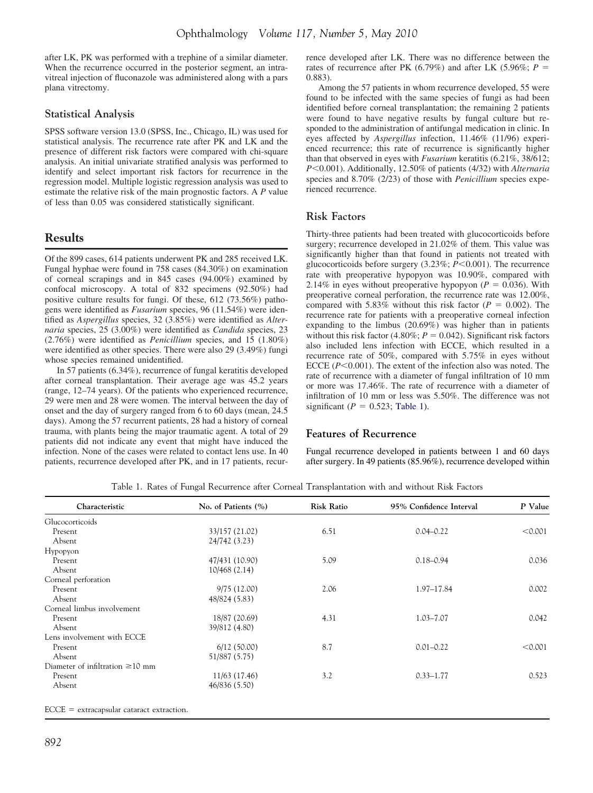after LK, PK was performed with a trephine of a similar diameter. When the recurrence occurred in the posterior segment, an intravitreal injection of fluconazole was administered along with a pars plana vitrectomy.

#### **Statistical Analysis**

SPSS software version 13.0 (SPSS, Inc., Chicago, IL) was used for statistical analysis. The recurrence rate after PK and LK and the presence of different risk factors were compared with chi-square analysis. An initial univariate stratified analysis was performed to identify and select important risk factors for recurrence in the regression model. Multiple logistic regression analysis was used to estimate the relative risk of the main prognostic factors. A *P* value of less than 0.05 was considered statistically significant.

## **Results**

Of the 899 cases, 614 patients underwent PK and 285 received LK. Fungal hyphae were found in 758 cases (84.30%) on examination of corneal scrapings and in 845 cases (94.00%) examined by confocal microscopy. A total of 832 specimens (92.50%) had positive culture results for fungi. Of these, 612 (73.56%) pathogens were identified as *Fusarium* species, 96 (11.54%) were identified as *Aspergillus* species, 32 (3.85%) were identified as *Alternaria* species, 25 (3.00%) were identified as *Candida* species, 23 (2.76%) were identified as *Penicillium* species, and 15 (1.80%) were identified as other species. There were also 29 (3.49%) fungi whose species remained unidentified.

In 57 patients (6.34%), recurrence of fungal keratitis developed after corneal transplantation. Their average age was 45.2 years (range, 12–74 years). Of the patients who experienced recurrence, 29 were men and 28 were women. The interval between the day of onset and the day of surgery ranged from 6 to 60 days (mean, 24.5 days). Among the 57 recurrent patients, 28 had a history of corneal trauma, with plants being the major traumatic agent. A total of 29 patients did not indicate any event that might have induced the infection. None of the cases were related to contact lens use. In 40 patients, recurrence developed after PK, and in 17 patients, recurrence developed after LK. There was no difference between the rates of recurrence after PK (6.79%) and after LK (5.96%;  $P =$ 0.883).

Among the 57 patients in whom recurrence developed, 55 were found to be infected with the same species of fungi as had been identified before corneal transplantation; the remaining 2 patients were found to have negative results by fungal culture but responded to the administration of antifungal medication in clinic. In eyes affected by *Aspergillus* infection, 11.46% (11/96) experienced recurrence; this rate of recurrence is significantly higher than that observed in eyes with *Fusarium* keratitis (6.21%, 38/612; *P*-0.001). Additionally, 12.50% of patients (4/32) with *Alternaria* species and 8.70% (2/23) of those with *Penicillium* species experienced recurrence.

#### **Risk Factors**

Thirty-three patients had been treated with glucocorticoids before surgery; recurrence developed in 21.02% of them. This value was significantly higher than that found in patients not treated with glucocorticoids before surgery (3.23%; *P*-0.001). The recurrence rate with preoperative hypopyon was 10.90%, compared with 2.14% in eyes without preoperative hypopyon ( $P = 0.036$ ). With preoperative corneal perforation, the recurrence rate was 12.00%, compared with 5.83% without this risk factor ( $P = 0.002$ ). The recurrence rate for patients with a preoperative corneal infection expanding to the limbus  $(20.69\%)$  was higher than in patients without this risk factor (4.80%;  $P = 0.042$ ). Significant risk factors also included lens infection with ECCE, which resulted in a recurrence rate of 50%, compared with 5.75% in eyes without ECCE ( $P < 0.001$ ). The extent of the infection also was noted. The rate of recurrence with a diameter of fungal infiltration of 10 mm or more was 17.46%. The rate of recurrence with a diameter of infiltration of 10 mm or less was 5.50%. The difference was not significant ( $P = 0.523$ ; Table 1).

#### **Features of Recurrence**

Fungal recurrence developed in patients between 1 and 60 days after surgery. In 49 patients (85.96%), recurrence developed within

| Characteristic                                     | No. of Patients (%) | <b>Risk Ratio</b> | 95% Confidence Interval | P Value |
|----------------------------------------------------|---------------------|-------------------|-------------------------|---------|
| Glucocorticoids                                    |                     |                   |                         |         |
| Present                                            | 33/157 (21.02)      | 6.51              | $0.04 - 0.22$           | < 0.001 |
| Absent                                             | 24/742 (3.23)       |                   |                         |         |
| Hypopyon                                           |                     |                   |                         |         |
| Present                                            | 47/431 (10.90)      | 5.09              | $0.18 - 0.94$           | 0.036   |
| Absent                                             | 10/468 (2.14)       |                   |                         |         |
| Corneal perforation                                |                     |                   |                         |         |
| Present                                            | 9/75(12.00)         | 2.06              | 1.97-17.84              | 0.002   |
| Absent                                             | 48/824 (5.83)       |                   |                         |         |
| Corneal limbus involvement                         |                     |                   |                         |         |
| Present                                            | 18/87 (20.69)       | 4.31              | $1.03 - 7.07$           | 0.042   |
| Absent                                             | 39/812 (4.80)       |                   |                         |         |
| Lens involvement with ECCE                         |                     |                   |                         |         |
| Present                                            | 6/12(50.00)         | 8.7               | $0.01 - 0.22$           | < 0.001 |
| Absent                                             | 51/887 (5.75)       |                   |                         |         |
| Diameter of infiltration $\geq 10$ mm              |                     |                   |                         |         |
| Present                                            | 11/63 (17.46)       | 3.2               | $0.33 - 1.77$           | 0.523   |
| Absent                                             | 46/836 (5.50)       |                   |                         |         |
| $\text{ECCE}$ = extracapsular cataract extraction. |                     |                   |                         |         |

*892*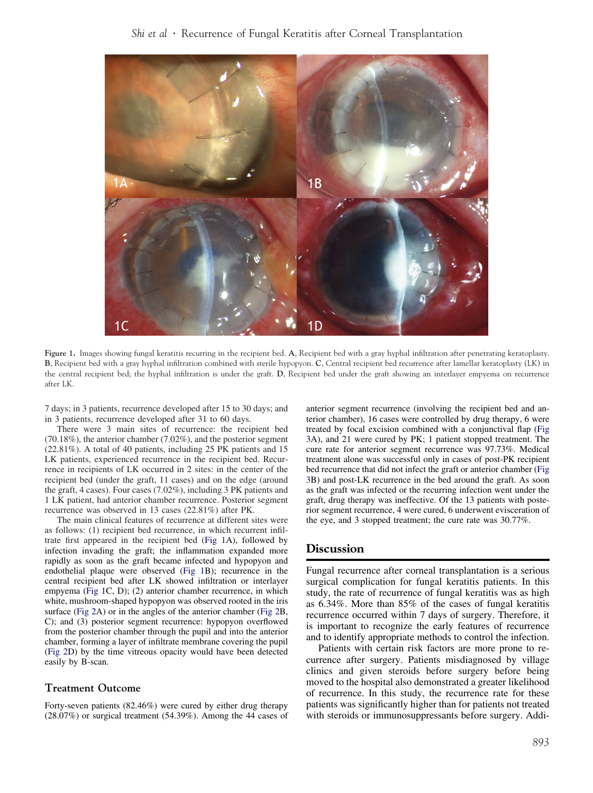**Figure 1.** Images showing fungal keratitis recurring in the recipient bed. **A**, Recipient bed with a gray hyphal infiltration after penetrating keratoplasty. **B**, Recipient bed with a gray hyphal infiltration combined with sterile hypopyon. **C**, Central recipient bed recurrence after lamellar keratoplasty (LK) in the central recipient bed; the hyphal infiltration is under the graft. **D**, Recipient bed under the graft showing an interlayer empyema on recurrence after LK.

7 days; in 3 patients, recurrence developed after 15 to 30 days; and in 3 patients, recurrence developed after 31 to 60 days.

There were 3 main sites of recurrence: the recipient bed (70.18%), the anterior chamber (7.02%), and the posterior segment (22.81%). A total of 40 patients, including 25 PK patients and 15 LK patients, experienced recurrence in the recipient bed. Recurrence in recipients of LK occurred in 2 sites: in the center of the recipient bed (under the graft, 11 cases) and on the edge (around the graft, 4 cases). Four cases (7.02%), including 3 PK patients and 1 LK patient, had anterior chamber recurrence. Posterior segment recurrence was observed in 13 cases (22.81%) after PK.

The main clinical features of recurrence at different sites were as follows: (1) recipient bed recurrence, in which recurrent infiltrate first appeared in the recipient bed (Fig 1A), followed by infection invading the graft; the inflammation expanded more rapidly as soon as the graft became infected and hypopyon and endothelial plaque were observed (Fig 1B); recurrence in the central recipient bed after LK showed infiltration or interlayer empyema (Fig 1C, D); (2) anterior chamber recurrence, in which white, mushroom-shaped hypopyon was observed rooted in the iris surface (Fig 2A) or in the angles of the anterior chamber (Fig 2B, C); and (3) posterior segment recurrence: hypopyon overflowed from the posterior chamber through the pupil and into the anterior chamber, forming a layer of infiltrate membrane covering the pupil (Fig 2D) by the time vitreous opacity would have been detected easily by B-scan.

#### **Treatment Outcome**

Forty-seven patients (82.46%) were cured by either drug therapy (28.07%) or surgical treatment (54.39%). Among the 44 cases of anterior segment recurrence (involving the recipient bed and anterior chamber), 16 cases were controlled by drug therapy, 6 were treated by focal excision combined with a conjunctival flap (Fig 3A), and 21 were cured by PK; 1 patient stopped treatment. The cure rate for anterior segment recurrence was 97.73%. Medical treatment alone was successful only in cases of post-PK recipient bed recurrence that did not infect the graft or anterior chamber (Fig 3B) and post-LK recurrence in the bed around the graft. As soon as the graft was infected or the recurring infection went under the graft, drug therapy was ineffective. Of the 13 patients with posterior segment recurrence, 4 were cured, 6 underwent evisceration of the eye, and 3 stopped treatment; the cure rate was 30.77%.

#### **Discussion**

Fungal recurrence after corneal transplantation is a serious surgical complication for fungal keratitis patients. In this study, the rate of recurrence of fungal keratitis was as high as 6.34%. More than 85% of the cases of fungal keratitis recurrence occurred within 7 days of surgery. Therefore, it is important to recognize the early features of recurrence and to identify appropriate methods to control the infection.

Patients with certain risk factors are more prone to recurrence after surgery. Patients misdiagnosed by village clinics and given steroids before surgery before being moved to the hospital also demonstrated a greater likelihood of recurrence. In this study, the recurrence rate for these patients was significantly higher than for patients not treated with steroids or immunosuppressants before surgery. Addi-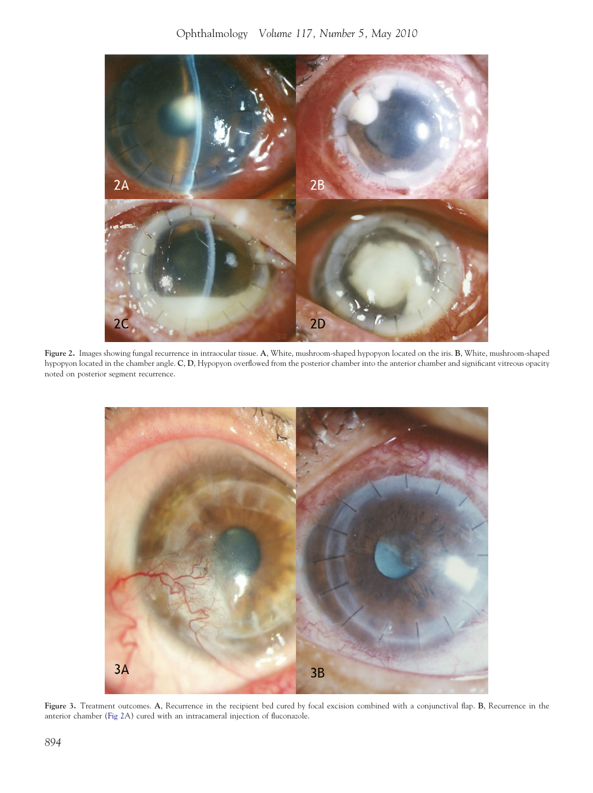

**Figure 2.** Images showing fungal recurrence in intraocular tissue. **A**, White, mushroom-shaped hypopyon located on the iris. **B**, White, mushroom-shaped hypopyon located in the chamber angle. **C**, **D**, Hypopyon overflowed from the posterior chamber into the anterior chamber and significant vitreous opacity noted on posterior segment recurrence.



**Figure 3.** Treatment outcomes. **A**, Recurrence in the recipient bed cured by focal excision combined with a conjunctival flap. **B**, Recurrence in the anterior chamber (Fig 2A) cured with an intracameral injection of fluconazole.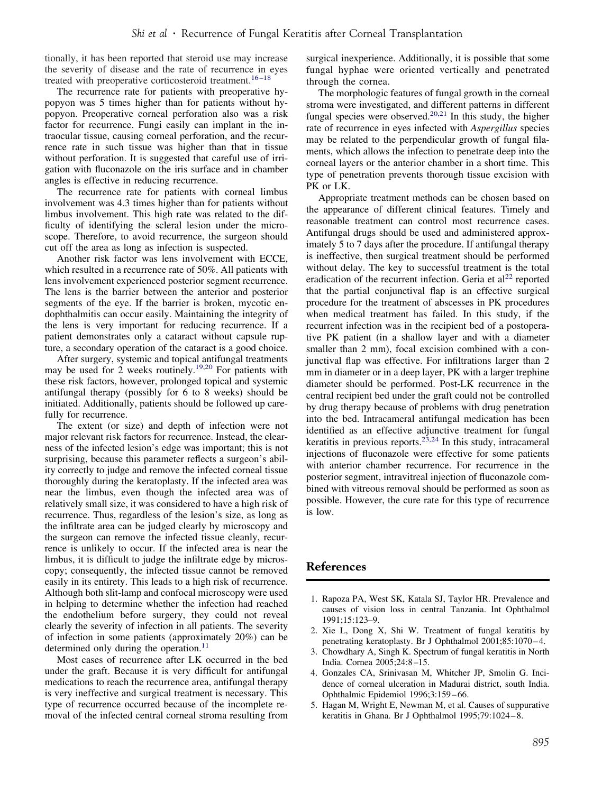tionally, it has been reported that steroid use may increase the severity of disease and the rate of recurrence in eyes treated with preoperative corticosteroid treatment.<sup>16–18</sup>

The recurrence rate for patients with preoperative hypopyon was 5 times higher than for patients without hypopyon. Preoperative corneal perforation also was a risk factor for recurrence. Fungi easily can implant in the intraocular tissue, causing corneal perforation, and the recurrence rate in such tissue was higher than that in tissue without perforation. It is suggested that careful use of irrigation with fluconazole on the iris surface and in chamber angles is effective in reducing recurrence.

The recurrence rate for patients with corneal limbus involvement was 4.3 times higher than for patients without limbus involvement. This high rate was related to the difficulty of identifying the scleral lesion under the microscope. Therefore, to avoid recurrence, the surgeon should cut off the area as long as infection is suspected.

Another risk factor was lens involvement with ECCE, which resulted in a recurrence rate of 50%. All patients with lens involvement experienced posterior segment recurrence. The lens is the barrier between the anterior and posterior segments of the eye. If the barrier is broken, mycotic endophthalmitis can occur easily. Maintaining the integrity of the lens is very important for reducing recurrence. If a patient demonstrates only a cataract without capsule rupture, a secondary operation of the cataract is a good choice.

After surgery, systemic and topical antifungal treatments may be used for  $2$  weeks routinely.<sup>19,20</sup> For patients with these risk factors, however, prolonged topical and systemic antifungal therapy (possibly for 6 to 8 weeks) should be initiated. Additionally, patients should be followed up carefully for recurrence.

The extent (or size) and depth of infection were not major relevant risk factors for recurrence. Instead, the clearness of the infected lesion's edge was important; this is not surprising, because this parameter reflects a surgeon's ability correctly to judge and remove the infected corneal tissue thoroughly during the keratoplasty. If the infected area was near the limbus, even though the infected area was of relatively small size, it was considered to have a high risk of recurrence. Thus, regardless of the lesion's size, as long as the infiltrate area can be judged clearly by microscopy and the surgeon can remove the infected tissue cleanly, recurrence is unlikely to occur. If the infected area is near the limbus, it is difficult to judge the infiltrate edge by microscopy; consequently, the infected tissue cannot be removed easily in its entirety. This leads to a high risk of recurrence. Although both slit-lamp and confocal microscopy were used in helping to determine whether the infection had reached the endothelium before surgery, they could not reveal clearly the severity of infection in all patients. The severity of infection in some patients (approximately 20%) can be determined only during the operation.<sup>11</sup>

Most cases of recurrence after LK occurred in the bed under the graft. Because it is very difficult for antifungal medications to reach the recurrence area, antifungal therapy is very ineffective and surgical treatment is necessary. This type of recurrence occurred because of the incomplete removal of the infected central corneal stroma resulting from surgical inexperience. Additionally, it is possible that some fungal hyphae were oriented vertically and penetrated through the cornea.

The morphologic features of fungal growth in the corneal stroma were investigated, and different patterns in different fungal species were observed.<sup>20,21</sup> In this study, the higher rate of recurrence in eyes infected with *Aspergillus* species may be related to the perpendicular growth of fungal filaments, which allows the infection to penetrate deep into the corneal layers or the anterior chamber in a short time. This type of penetration prevents thorough tissue excision with PK or LK.

Appropriate treatment methods can be chosen based on the appearance of different clinical features. Timely and reasonable treatment can control most recurrence cases. Antifungal drugs should be used and administered approximately 5 to 7 days after the procedure. If antifungal therapy is ineffective, then surgical treatment should be performed without delay. The key to successful treatment is the total eradication of the recurrent infection. Geria et  $al<sup>22</sup>$  reported that the partial conjunctival flap is an effective surgical procedure for the treatment of abscesses in PK procedures when medical treatment has failed. In this study, if the recurrent infection was in the recipient bed of a postoperative PK patient (in a shallow layer and with a diameter smaller than 2 mm), focal excision combined with a conjunctival flap was effective. For infiltrations larger than 2 mm in diameter or in a deep layer, PK with a larger trephine diameter should be performed. Post-LK recurrence in the central recipient bed under the graft could not be controlled by drug therapy because of problems with drug penetration into the bed. Intracameral antifungal medication has been identified as an effective adjunctive treatment for fungal keratitis in previous reports.<sup>23,24</sup> In this study, intracameral injections of fluconazole were effective for some patients with anterior chamber recurrence. For recurrence in the posterior segment, intravitreal injection of fluconazole combined with vitreous removal should be performed as soon as possible. However, the cure rate for this type of recurrence is low.

#### **References**

- 1. Rapoza PA, West SK, Katala SJ, Taylor HR. Prevalence and causes of vision loss in central Tanzania. Int Ophthalmol 1991;15:123–9.
- 2. Xie L, Dong X, Shi W. Treatment of fungal keratitis by penetrating keratoplasty. Br J Ophthalmol 2001;85:1070–4.
- 3. Chowdhary A, Singh K. Spectrum of fungal keratitis in North India. Cornea 2005;24:8–15.
- 4. Gonzales CA, Srinivasan M, Whitcher JP, Smolin G. Incidence of corneal ulceration in Madurai district, south India. Ophthalmic Epidemiol 1996;3:159–66.
- 5. Hagan M, Wright E, Newman M, et al. Causes of suppurative keratitis in Ghana. Br J Ophthalmol 1995;79:1024–8.